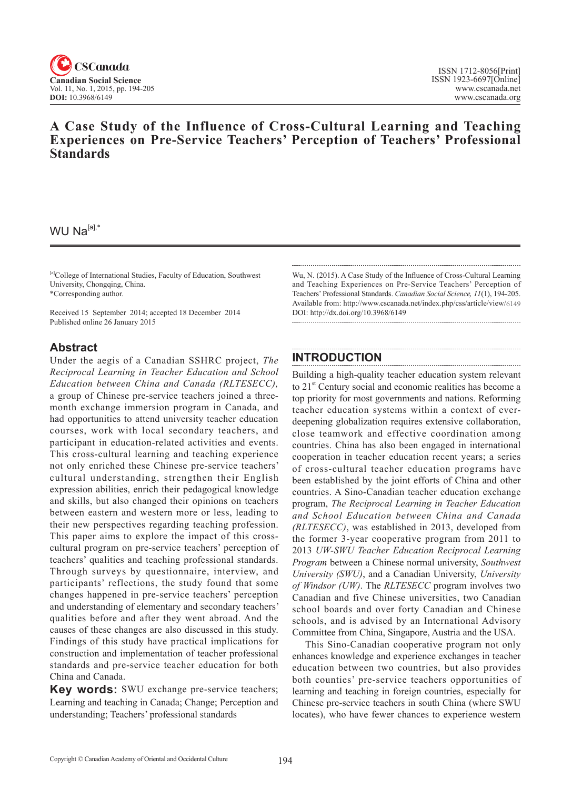

# **A Case Study of the Influence of Cross-Cultural Learning and Teaching Experiences on Pre-Service Teachers' Perception of Teachers' Professional Standards**

### WU Na $[a]$ ,\*

[a]College of International Studies, Faculty of Education, Southwest University, Chongqing, China. \*Corresponding author.

Received 15 September 2014; accepted 18 December 2014 Published online 26 January 2015

### **Abstract**

Under the aegis of a Canadian SSHRC project, *The Reciprocal Learning in Teacher Education and School Education between China and Canada (RLTESECC),* a group of Chinese pre-service teachers joined a threemonth exchange immersion program in Canada, and had opportunities to attend university teacher education courses, work with local secondary teachers, and participant in education-related activities and events. This cross-cultural learning and teaching experience not only enriched these Chinese pre-service teachers' cultural understanding, strengthen their English expression abilities, enrich their pedagogical knowledge and skills, but also changed their opinions on teachers between eastern and western more or less, leading to their new perspectives regarding teaching profession. This paper aims to explore the impact of this crosscultural program on pre-service teachers' perception of teachers' qualities and teaching professional standards. Through surveys by questionnaire, interview, and participants' reflections, the study found that some changes happened in pre-service teachers' perception and understanding of elementary and secondary teachers' qualities before and after they went abroad. And the causes of these changes are also discussed in this study. Findings of this study have practical implications for construction and implementation of teacher professional standards and pre-service teacher education for both China and Canada.

**Key words:** SWU exchange pre-service teachers; Learning and teaching in Canada; Change; Perception and understanding; Teachers' professional standards

Wu, N. (2015). A Case Study of the Influence of Cross-Cultural Learning and Teaching Experiences on Pre-Service Teachers' Perception of Teachers' Professional Standards. *Canadian Social Science*, <sup>11</sup>(1), 194-205. Available from: http://www.cscanada.net/index.php/css/article/view/6149 DOI: http://dx.doi.org/10.3968/6149

## **INTRODUCTION**

Building a high-quality teacher education system relevant to 21<sup>st</sup> Century social and economic realities has become a top priority for most governments and nations. Reforming teacher education systems within a context of everdeepening globalization requires extensive collaboration, close teamwork and effective coordination among countries. China has also been engaged in international cooperation in teacher education recent years; a series of cross-cultural teacher education programs have been established by the joint efforts of China and other countries. A Sino-Canadian teacher education exchange program, *The Reciprocal Learning in Teacher Education and School Education between China and Canada (RLTESECC)*, was established in 2013, developed from the former 3-year cooperative program from 2011 to 2013 *UW-SWU Teacher Education Reciprocal Learning Program* between a Chinese normal university, *Southwest University (SWU)*, and a Canadian University, *University of Windsor (UW)*. The *RLTESECC* program involves two Canadian and five Chinese universities, two Canadian school boards and over forty Canadian and Chinese schools, and is advised by an International Advisory Committee from China, Singapore, Austria and the USA.

This Sino-Canadian cooperative program not only enhances knowledge and experience exchanges in teacher education between two countries, but also provides both counties' pre-service teachers opportunities of learning and teaching in foreign countries, especially for Chinese pre-service teachers in south China (where SWU locates), who have fewer chances to experience western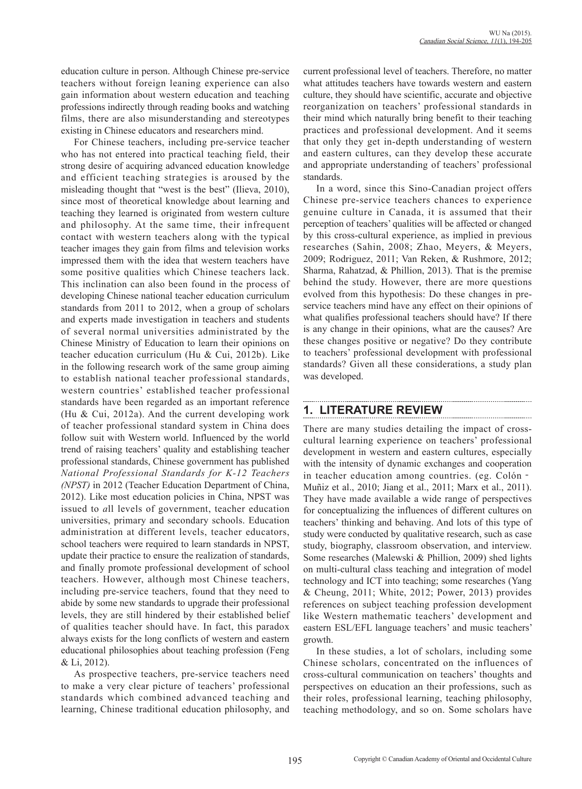education culture in person. Although Chinese pre-service teachers without foreign leaning experience can also gain information about western education and teaching professions indirectly through reading books and watching films, there are also misunderstanding and stereotypes existing in Chinese educators and researchers mind.

For Chinese teachers, including pre-service teacher who has not entered into practical teaching field, their strong desire of acquiring advanced education knowledge and efficient teaching strategies is aroused by the misleading thought that "west is the best" (Ilieva, 2010), since most of theoretical knowledge about learning and teaching they learned is originated from western culture and philosophy. At the same time, their infrequent contact with western teachers along with the typical teacher images they gain from films and television works impressed them with the idea that western teachers have some positive qualities which Chinese teachers lack. This inclination can also been found in the process of developing Chinese national teacher education curriculum standards from 2011 to 2012, when a group of scholars and experts made investigation in teachers and students of several normal universities administrated by the Chinese Ministry of Education to learn their opinions on teacher education curriculum (Hu & Cui, 2012b). Like in the following research work of the same group aiming to establish national teacher professional standards, western countries' established teacher professional standards have been regarded as an important reference (Hu & Cui, 2012a). And the current developing work of teacher professional standard system in China does follow suit with Western world. Influenced by the world trend of raising teachers' quality and establishing teacher professional standards, Chinese government has published *National Professional Standards for K-12 Teachers (NPST)* in 2012 (Teacher Education Department of China, 2012). Like most education policies in China, NPST was issued to *a*ll levels of government, teacher education universities, primary and secondary schools. Education administration at different levels, teacher educators, school teachers were required to learn standards in NPST, update their practice to ensure the realization of standards, and finally promote professional development of school teachers. However, although most Chinese teachers, including pre-service teachers, found that they need to abide by some new standards to upgrade their professional levels, they are still hindered by their established belief of qualities teacher should have. In fact, this paradox always exists for the long conflicts of western and eastern educational philosophies about teaching profession (Feng & Li, 2012).

As prospective teachers, pre-service teachers need to make a very clear picture of teachers' professional standards which combined advanced teaching and learning, Chinese traditional education philosophy, and

current professional level of teachers. Therefore, no matter what attitudes teachers have towards western and eastern culture, they should have scientific, accurate and objective reorganization on teachers' professional standards in their mind which naturally bring benefit to their teaching practices and professional development. And it seems that only they get in-depth understanding of western and eastern cultures, can they develop these accurate and appropriate understanding of teachers' professional standards.

In a word, since this Sino-Canadian project offers Chinese pre-service teachers chances to experience genuine culture in Canada, it is assumed that their perception of teachers' qualities will be affected or changed by this cross-cultural experience, as implied in previous researches (Sahin, 2008; Zhao, Meyers, & Meyers, 2009; Rodriguez, 2011; Van Reken, & Rushmore, 2012; Sharma, Rahatzad, & Phillion, 2013). That is the premise behind the study. However, there are more questions evolved from this hypothesis: Do these changes in preservice teachers mind have any effect on their opinions of what qualifies professional teachers should have? If there is any change in their opinions, what are the causes? Are these changes positive or negative? Do they contribute to teachers' professional development with professional standards? Given all these considerations, a study plan was developed.

# **1. LITERATURE REVIEW**

There are many studies detailing the impact of crosscultural learning experience on teachers' professional development in western and eastern cultures, especially with the intensity of dynamic exchanges and cooperation in teacher education among countries. (eg. Colón‐ Muñiz et al., 2010; Jiang et al., 2011; Marx et al., 2011). They have made available a wide range of perspectives for conceptualizing the influences of different cultures on teachers' thinking and behaving. And lots of this type of study were conducted by qualitative research, such as case study, biography, classroom observation, and interview. Some researches (Malewski & Phillion, 2009) shed lights on multi-cultural class teaching and integration of model technology and ICT into teaching; some researches (Yang & Cheung, 2011; White, 2012; Power, 2013) provides references on subject teaching profession development like Western mathematic teachers' development and eastern ESL/EFL language teachers' and music teachers' growth.

In these studies, a lot of scholars, including some Chinese scholars, concentrated on the influences of cross-cultural communication on teachers' thoughts and perspectives on education an their professions, such as their roles, professional learning, teaching philosophy, teaching methodology, and so on. Some scholars have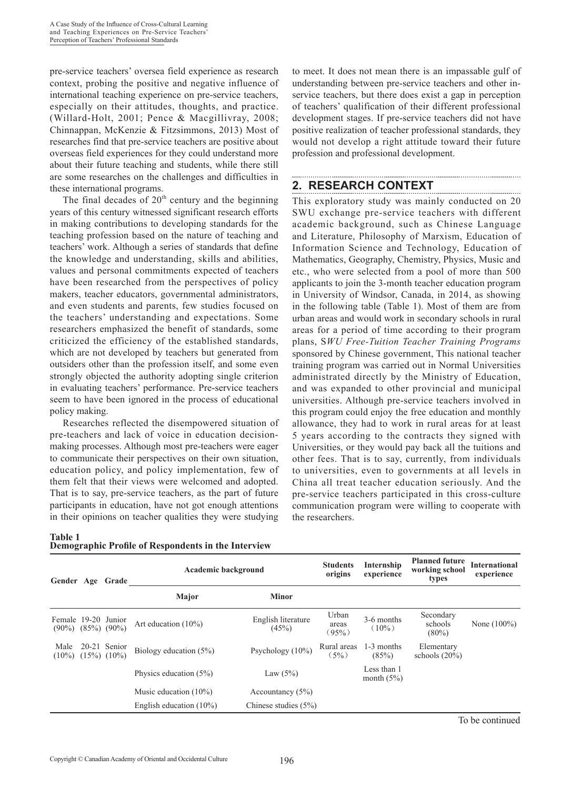pre-service teachers' oversea field experience as research context, probing the positive and negative influence of international teaching experience on pre-service teachers, especially on their attitudes, thoughts, and practice. (Willard-Holt, 2001; Pence & Macgillivray, 2008; Chinnappan, McKenzie & Fitzsimmons, 2013) Most of researches find that pre-service teachers are positive about overseas field experiences for they could understand more about their future teaching and students, while there still are some researches on the challenges and difficulties in these international programs.

The final decades of  $20<sup>th</sup>$  century and the beginning years of this century witnessed significant research efforts in making contributions to developing standards for the teaching profession based on the nature of teaching and teachers' work. Although a series of standards that define the knowledge and understanding, skills and abilities, values and personal commitments expected of teachers have been researched from the perspectives of policy makers, teacher educators, governmental administrators, and even students and parents, few studies focused on the teachers' understanding and expectations. Some researchers emphasized the benefit of standards, some criticized the efficiency of the established standards, which are not developed by teachers but generated from outsiders other than the profession itself, and some even strongly objected the authority adopting single criterion in evaluating teachers' performance. Pre-service teachers seem to have been ignored in the process of educational policy making.

Researches reflected the disempowered situation of pre-teachers and lack of voice in education decisionmaking processes. Although most pre-teachers were eager to communicate their perspectives on their own situation, education policy, and policy implementation, few of them felt that their views were welcomed and adopted. That is to say, pre-service teachers, as the part of future participants in education, have not got enough attentions in their opinions on teacher qualities they were studying

**Table 1 Demographic Profile of Respondents in the Interview** to meet. It does not mean there is an impassable gulf of understanding between pre-service teachers and other inservice teachers, but there does exist a gap in perception of teachers' qualification of their different professional development stages. If pre-service teachers did not have positive realization of teacher professional standards, they would not develop a right attitude toward their future profession and professional development.

# **2. RESEARCH CONTEXT**

This exploratory study was mainly conducted on 20 SWU exchange pre-service teachers with different academic background, such as Chinese Language and Literature, Philosophy of Marxism, Education of Information Science and Technology, Education of Mathematics, Geography, Chemistry, Physics, Music and etc., who were selected from a pool of more than 500 applicants to join the 3-month teacher education program in University of Windsor, Canada, in 2014, as showing in the following table (Table 1). Most of them are from urban areas and would work in secondary schools in rural areas for a period of time according to their program plans, S*WU Free-Tuition Teacher Training Programs*  sponsored by Chinese government, This national teacher training program was carried out in Normal Universities administrated directly by the Ministry of Education, and was expanded to other provincial and municipal universities. Although pre-service teachers involved in this program could enjoy the free education and monthly allowance, they had to work in rural areas for at least 5 years according to the contracts they signed with Universities, or they would pay back all the tuitions and other fees. That is to say, currently, from individuals to universities, even to governments at all levels in China all treat teacher education seriously. And the pre-service teachers participated in this cross-culture communication program were willing to cooperate with the researchers.

| Gender Age Grade                              |                                 | <b>Academic background</b> |                             | <b>Students</b><br>origins | Internship<br>experience    | <b>Planned future</b><br>working school<br>types | <b>International</b><br>experience |
|-----------------------------------------------|---------------------------------|----------------------------|-----------------------------|----------------------------|-----------------------------|--------------------------------------------------|------------------------------------|
|                                               |                                 | Major                      | <b>Minor</b>                |                            |                             |                                                  |                                    |
| Female 19-20 Junior<br>$(90\%) (85\%) (90\%)$ |                                 | Art education $(10\%)$     | English literature<br>(45%) | Urban<br>areas<br>$(95\%)$ | 3-6 months<br>$(10\%)$      | Secondary<br>schools<br>$(80\%)$                 | None $(100\%)$                     |
| Male<br>$(10\%)$                              | 20-21 Senior<br>$(15\%) (10\%)$ | Biology education $(5\%)$  | Psychology $(10\%)$         | Rural areas<br>(5%)        | 1-3 months<br>(85%)         | Elementary<br>schools $(20\%)$                   |                                    |
|                                               |                                 | Physics education (5%)     | Law $(5%)$                  |                            | Less than 1<br>month $(5%)$ |                                                  |                                    |
|                                               |                                 | Music education $(10\%)$   | Accountancy $(5\%)$         |                            |                             |                                                  |                                    |
|                                               |                                 | English education $(10\%)$ | Chinese studies $(5%)$      |                            |                             |                                                  |                                    |

To be continued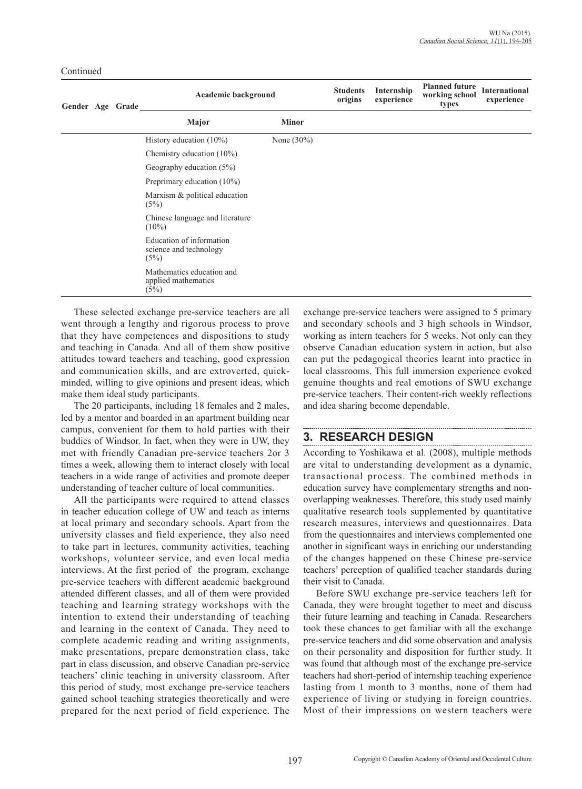| Gender Age Grade |  | Academic background                                        | <b>Students</b><br>origins | Internship<br>experience | <b>Planned future</b><br>working school<br>types | <b>International</b><br>experience |  |
|------------------|--|------------------------------------------------------------|----------------------------|--------------------------|--------------------------------------------------|------------------------------------|--|
|                  |  | Major                                                      | <b>Minor</b>               |                          |                                                  |                                    |  |
|                  |  | History education $(10\%)$                                 | None $(30\%)$              |                          |                                                  |                                    |  |
|                  |  | Chemistry education $(10\%)$                               |                            |                          |                                                  |                                    |  |
|                  |  | Geography education $(5\%)$                                |                            |                          |                                                  |                                    |  |
|                  |  | Preprimary education $(10\%)$                              |                            |                          |                                                  |                                    |  |
|                  |  | Marxism & political education<br>(5%)                      |                            |                          |                                                  |                                    |  |
|                  |  | Chinese language and literature<br>$(10\%)$                |                            |                          |                                                  |                                    |  |
|                  |  | Education of information<br>science and technology<br>(5%) |                            |                          |                                                  |                                    |  |
|                  |  | Mathematics education and<br>applied mathematics<br>(5%)   |                            |                          |                                                  |                                    |  |

These selected exchange pre-service teachers are all went through a lengthy and rigorous process to prove that they have competences and dispositions to study and teaching in Canada. And all of them show positive attitudes toward teachers and teaching, good expression and communication skills, and are extroverted, quickminded, willing to give opinions and present ideas, which make them ideal study participants.

Continued

The 20 participants, including 18 females and 2 males, led by a mentor and boarded in an apartment building near campus, convenient for them to hold parties with their buddies of Windsor. In fact, when they were in UW, they met with friendly Canadian pre-service teachers 2or 3 times a week, allowing them to interact closely with local teachers in a wide range of activities and promote deeper understanding of teacher culture of local communities.

All the participants were required to attend classes in teacher education college of UW and teach as interns at local primary and secondary schools. Apart from the university classes and field experience, they also need to take part in lectures, community activities, teaching workshops, volunteer service, and even local media interviews. At the first period of the program, exchange pre-service teachers with different academic background attended different classes, and all of them were provided teaching and learning strategy workshops with the intention to extend their understanding of teaching and learning in the context of Canada. They need to complete academic reading and writing assignments, make presentations, prepare demonstration class, take part in class discussion, and observe Canadian pre-service teachers' clinic teaching in university classroom. After this period of study, most exchange pre-service teachers gained school teaching strategies theoretically and were prepared for the next period of field experience. The

exchange pre-service teachers were assigned to 5 primary and secondary schools and 3 high schools in Windsor, working as intern teachers for 5 weeks. Not only can they observe Canadian education system in action, but also can put the pedagogical theories learnt into practice in local classrooms. This full immersion experience evoked genuine thoughts and real emotions of SWU exchange pre-service teachers. Their content-rich weekly reflections and idea sharing become dependable.

# **3. RESEARCH DESIGN**

According to Yoshikawa et al. (2008), multiple methods are vital to understanding development as a dynamic, transactional process. The combined methods in education survey have complementary strengths and nonoverlapping weaknesses. Therefore, this study used mainly qualitative research tools supplemented by quantitative research measures, interviews and questionnaires. Data from the questionnaires and interviews complemented one another in significant ways in enriching our understanding of the changes happened on these Chinese pre-service teachers' perception of qualified teacher standards during their visit to Canada.

Before SWU exchange pre-service teachers left for Canada, they were brought together to meet and discuss their future learning and teaching in Canada. Researchers took these chances to get familiar with all the exchange pre-service teachers and did some observation and analysis on their personality and disposition for further study. It was found that although most of the exchange pre-service teachers had short-period of internship teaching experience lasting from 1 month to 3 months, none of them had experience of living or studying in foreign countries. Most of their impressions on western teachers were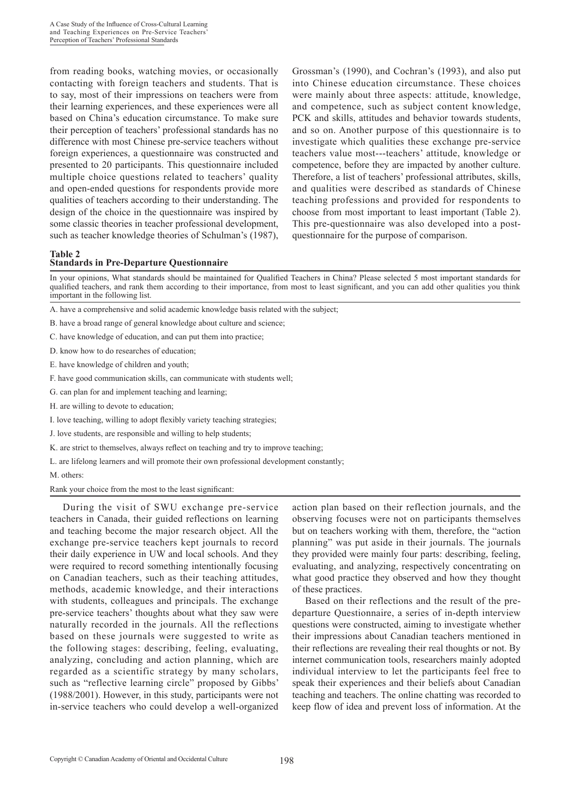from reading books, watching movies, or occasionally contacting with foreign teachers and students. That is to say, most of their impressions on teachers were from their learning experiences, and these experiences were all based on China's education circumstance. To make sure their perception of teachers' professional standards has no difference with most Chinese pre-service teachers without foreign experiences, a questionnaire was constructed and presented to 20 participants. This questionnaire included multiple choice questions related to teachers' quality and open-ended questions for respondents provide more qualities of teachers according to their understanding. The design of the choice in the questionnaire was inspired by some classic theories in teacher professional development, such as teacher knowledge theories of Schulman's (1987),

Grossman's (1990), and Cochran's (1993), and also put into Chinese education circumstance. These choices were mainly about three aspects: attitude, knowledge, and competence, such as subject content knowledge, PCK and skills, attitudes and behavior towards students, and so on. Another purpose of this questionnaire is to investigate which qualities these exchange pre-service teachers value most---teachers' attitude, knowledge or competence, before they are impacted by another culture. Therefore, a list of teachers' professional attributes, skills, and qualities were described as standards of Chinese teaching professions and provided for respondents to choose from most important to least important (Table 2). This pre-questionnaire was also developed into a postquestionnaire for the purpose of comparison.

#### **Table 2 Standards in Pre-Departure Questionnaire**

In your opinions, What standards should be maintained for Qualified Teachers in China? Please selected 5 most important standards for qualified teachers, and rank them according to their importance, from most to least significant, and you can add other qualities you think important in the following list.

- A. have a comprehensive and solid academic knowledge basis related with the subject;
- B. have a broad range of general knowledge about culture and science;
- C. have knowledge of education, and can put them into practice;
- D. know how to do researches of education;
- E. have knowledge of children and youth;
- F. have good communication skills, can communicate with students well;
- G. can plan for and implement teaching and learning;
- H. are willing to devote to education;
- I. love teaching, willing to adopt flexibly variety teaching strategies;
- J. love students, are responsible and willing to help students;
- K. are strict to themselves, always reflect on teaching and try to improve teaching;
- L. are lifelong learners and will promote their own professional development constantly;
- M. others:

#### Rank your choice from the most to the least significant:

During the visit of SWU exchange pre-service teachers in Canada, their guided reflections on learning and teaching become the major research object. All the exchange pre-service teachers kept journals to record their daily experience in UW and local schools. And they were required to record something intentionally focusing on Canadian teachers, such as their teaching attitudes, methods, academic knowledge, and their interactions with students, colleagues and principals. The exchange pre-service teachers' thoughts about what they saw were naturally recorded in the journals. All the reflections based on these journals were suggested to write as the following stages: describing, feeling, evaluating, analyzing, concluding and action planning, which are regarded as a scientific strategy by many scholars, such as "reflective learning circle" proposed by Gibbs' (1988/2001). However, in this study, participants were not in-service teachers who could develop a well-organized action plan based on their reflection journals, and the observing focuses were not on participants themselves but on teachers working with them, therefore, the "action planning" was put aside in their journals. The journals they provided were mainly four parts: describing, feeling, evaluating, and analyzing, respectively concentrating on what good practice they observed and how they thought of these practices.

Based on their reflections and the result of the predeparture Questionnaire, a series of in-depth interview questions were constructed, aiming to investigate whether their impressions about Canadian teachers mentioned in their reflections are revealing their real thoughts or not. By internet communication tools, researchers mainly adopted individual interview to let the participants feel free to speak their experiences and their beliefs about Canadian teaching and teachers. The online chatting was recorded to keep flow of idea and prevent loss of information. At the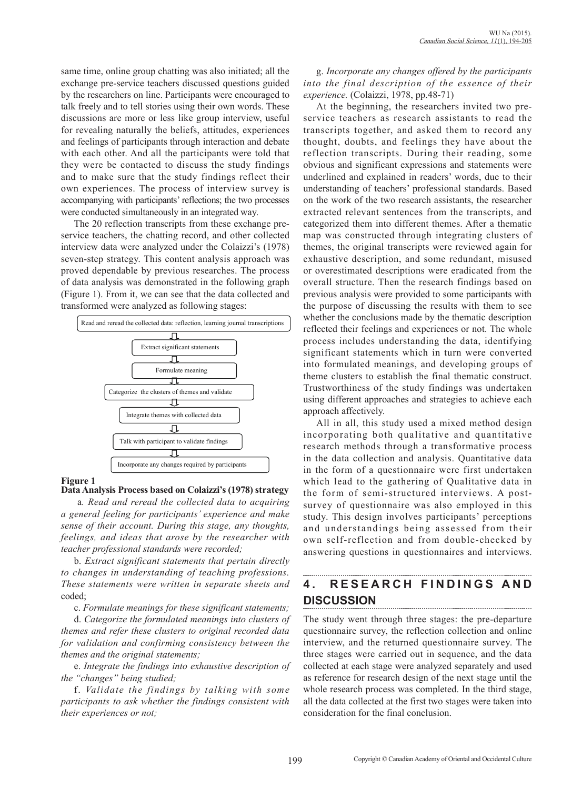same time, online group chatting was also initiated; all the exchange pre-service teachers discussed questions guided by the researchers on line. Participants were encouraged to talk freely and to tell stories using their own words. These discussions are more or less like group interview, useful for revealing naturally the beliefs, attitudes, experiences and feelings of participants through interaction and debate with each other. And all the participants were told that they were be contacted to discuss the study findings and to make sure that the study findings reflect their own experiences. The process of interview survey is accompanying with participants' reflections; the two processes were conducted simultaneously in an integrated way.

The 20 reflection transcripts from these exchange preservice teachers, the chatting record, and other collected interview data were analyzed under the Colaizzi's (1978) seven-step strategy. This content analysis approach was proved dependable by previous researches. The process of data analysis was demonstrated in the following graph (Figure 1). From it, we can see that the data collected and transformed were analyzed as following stages:



### **Figure 1**

#### **Data Analysis Process based on Colaizzi's (1978) strategy**

 a*. Read and reread the collected data to acquiring a general feeling for participants' experience and make sense of their account. During this stage, any thoughts, feelings, and ideas that arose by the researcher with teacher professional standards were recorded;* 

b. *Extract significant statements that pertain directly to changes in understanding of teaching professions. These statements were written in separate sheets and*  coded;

c. *Formulate meanings for these significant statements;* 

d. *Categorize the formulated meanings into clusters of themes and refer these clusters to original recorded data for validation and confirming consistency between the themes and the original statements;* 

e. *Integrate the findings into exhaustive description of the "changes" being studied;*

f. *Validate the findings by talking with some participants to ask whether the findings consistent with their experiences or not;* 

g. *Incorporate any changes offered by the participants into the final description of the essence of their experience.* (Colaizzi, 1978, pp.48-71)

At the beginning, the researchers invited two preservice teachers as research assistants to read the transcripts together, and asked them to record any thought, doubts, and feelings they have about the reflection transcripts. During their reading, some obvious and significant expressions and statements were underlined and explained in readers' words, due to their understanding of teachers' professional standards. Based on the work of the two research assistants, the researcher extracted relevant sentences from the transcripts, and categorized them into different themes. After a thematic map was constructed through integrating clusters of themes, the original transcripts were reviewed again for exhaustive description, and some redundant, misused or overestimated descriptions were eradicated from the overall structure. Then the research findings based on previous analysis were provided to some participants with the purpose of discussing the results with them to see whether the conclusions made by the thematic description reflected their feelings and experiences or not. The whole process includes understanding the data, identifying significant statements which in turn were converted into formulated meanings, and developing groups of theme clusters to establish the final thematic construct. Trustworthiness of the study findings was undertaken using different approaches and strategies to achieve each approach affectively.

All in all, this study used a mixed method design incorporating both qualitative and quantitative research methods through a transformative process in the data collection and analysis. Quantitative data in the form of a questionnaire were first undertaken which lead to the gathering of Qualitative data in the form of semi-structured interviews. A postsurvey of questionnaire was also employed in this study. This design involves participants' perceptions and understandings being assessed from their own self-reflection and from double-checked by answering questions in questionnaires and interviews.

# **4 . R E S E A R C H F I N D I N G S A N D DISCUSSION**

The study went through three stages: the pre-departure questionnaire survey, the reflection collection and online interview, and the returned questionnaire survey. The three stages were carried out in sequence, and the data collected at each stage were analyzed separately and used as reference for research design of the next stage until the whole research process was completed. In the third stage, all the data collected at the first two stages were taken into consideration for the final conclusion.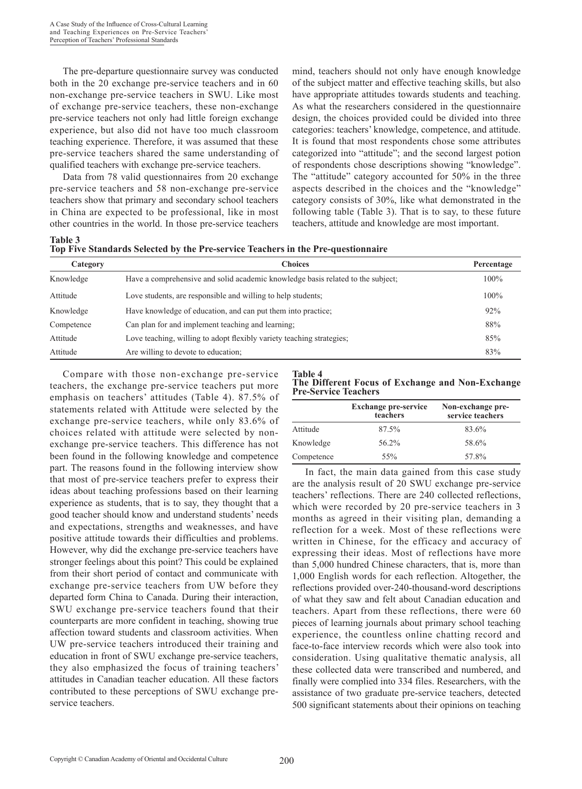The pre-departure questionnaire survey was conducted both in the 20 exchange pre-service teachers and in 60 non-exchange pre-service teachers in SWU. Like most of exchange pre-service teachers, these non-exchange pre-service teachers not only had little foreign exchange experience, but also did not have too much classroom teaching experience. Therefore, it was assumed that these pre-service teachers shared the same understanding of qualified teachers with exchange pre-service teachers.

Data from 78 valid questionnaires from 20 exchange pre-service teachers and 58 non-exchange pre-service teachers show that primary and secondary school teachers in China are expected to be professional, like in most other countries in the world. In those pre-service teachers mind, teachers should not only have enough knowledge of the subject matter and effective teaching skills, but also have appropriate attitudes towards students and teaching. As what the researchers considered in the questionnaire design, the choices provided could be divided into three categories: teachers' knowledge, competence, and attitude. It is found that most respondents chose some attributes categorized into "attitude"; and the second largest potion of respondents chose descriptions showing "knowledge". The "attitude" category accounted for 50% in the three aspects described in the choices and the "knowledge" category consists of 30%, like what demonstrated in the following table (Table 3). That is to say, to these future teachers, attitude and knowledge are most important.

| Table 3                                                                          |  |  |
|----------------------------------------------------------------------------------|--|--|
| Top Five Standards Selected by the Pre-service Teachers in the Pre-questionnaire |  |  |

| Category   | <b>Choices</b>                                                                  | Percentage |
|------------|---------------------------------------------------------------------------------|------------|
| Knowledge  | Have a comprehensive and solid academic knowledge basis related to the subject; | 100%       |
| Attitude   | Love students, are responsible and willing to help students;                    | 100%       |
| Knowledge  | Have knowledge of education, and can put them into practice.                    | 92%        |
| Competence | Can plan for and implement teaching and learning.                               | 88%        |
| Attitude   | Love teaching, willing to adopt flexibly variety teaching strategies;           | 85%        |
| Attitude   | Are willing to devote to education;                                             | 83%        |

Compare with those non-exchange pre-service teachers, the exchange pre-service teachers put more emphasis on teachers' attitudes (Table 4). 87.5% of statements related with Attitude were selected by the exchange pre-service teachers, while only 83.6% of choices related with attitude were selected by nonexchange pre-service teachers. This difference has not been found in the following knowledge and competence part. The reasons found in the following interview show that most of pre-service teachers prefer to express their ideas about teaching professions based on their learning experience as students, that is to say, they thought that a good teacher should know and understand students' needs and expectations, strengths and weaknesses, and have positive attitude towards their difficulties and problems. However, why did the exchange pre-service teachers have stronger feelings about this point? This could be explained from their short period of contact and communicate with exchange pre-service teachers from UW before they departed form China to Canada. During their interaction, SWU exchange pre-service teachers found that their counterparts are more confident in teaching, showing true affection toward students and classroom activities. When UW pre-service teachers introduced their training and education in front of SWU exchange pre-service teachers, they also emphasized the focus of training teachers' attitudes in Canadian teacher education. All these factors contributed to these perceptions of SWU exchange preservice teachers.

**Table 4 The Different Focus of Exchange and Non-Exchange Pre-Service Teachers**

|            | <b>Exchange pre-service</b><br>teachers | Non-exchange pre-<br>service teachers |
|------------|-----------------------------------------|---------------------------------------|
| Attitude   | 87.5%                                   | 83.6%                                 |
| Knowledge  | 56.2%                                   | 58.6%                                 |
| Competence | 55%                                     | 57.8%                                 |

In fact, the main data gained from this case study are the analysis result of 20 SWU exchange pre-service teachers' reflections. There are 240 collected reflections, which were recorded by 20 pre-service teachers in 3 months as agreed in their visiting plan, demanding a reflection for a week. Most of these reflections were written in Chinese, for the efficacy and accuracy of expressing their ideas. Most of reflections have more than 5,000 hundred Chinese characters, that is, more than 1,000 English words for each reflection. Altogether, the reflections provided over-240-thousand-word descriptions of what they saw and felt about Canadian education and teachers. Apart from these reflections, there were 60 pieces of learning journals about primary school teaching experience, the countless online chatting record and face-to-face interview records which were also took into consideration. Using qualitative thematic analysis, all these collected data were transcribed and numbered, and finally were complied into 334 files. Researchers, with the assistance of two graduate pre-service teachers, detected 500 significant statements about their opinions on teaching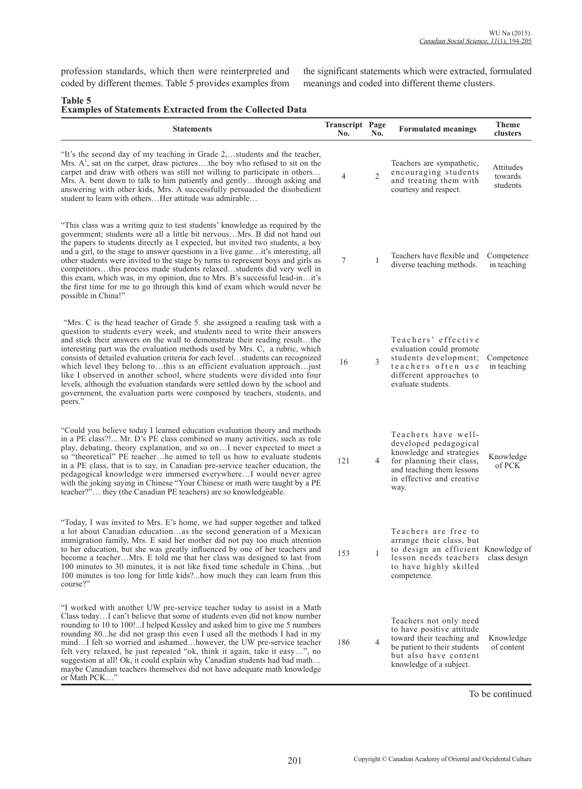profession standards, which then were reinterpreted and coded by different themes. Table 5 provides examples from the significant statements which were extracted, formulated meanings and coded into different theme clusters.

# **Table 5**

| Lavit J<br><b>Examples of Statements Extracted from the Collected Data</b>                                                                                                                                                                                                                                                                                                                                                                                                                                                                                                                                                                                                                                                             |                               |                |                                                                                                                                                                         |                                  |  |  |
|----------------------------------------------------------------------------------------------------------------------------------------------------------------------------------------------------------------------------------------------------------------------------------------------------------------------------------------------------------------------------------------------------------------------------------------------------------------------------------------------------------------------------------------------------------------------------------------------------------------------------------------------------------------------------------------------------------------------------------------|-------------------------------|----------------|-------------------------------------------------------------------------------------------------------------------------------------------------------------------------|----------------------------------|--|--|
| <b>Statements</b>                                                                                                                                                                                                                                                                                                                                                                                                                                                                                                                                                                                                                                                                                                                      | <b>Transcript Page</b><br>No. | No.            | <b>Formulated meanings</b>                                                                                                                                              | <b>Theme</b><br>clusters         |  |  |
| "It's the second day of my teaching in Grade 2,students and the teacher,<br>Mrs. A <sup>1</sup> , sat on the carpet, draw picturesthe boy who refused to sit on the<br>carpet and draw with others was still not willing to participate in others<br>Mrs. A. bent down to talk to him patiently and gentlythrough asking and<br>answering with other kids, Mrs. A successfully persuaded the disobedient<br>student to learn with othersHer attitude was admirable                                                                                                                                                                                                                                                                     | 4                             | $\overline{2}$ | Teachers are sympathetic,<br>encouraging students<br>and treating them with<br>courtesy and respect.                                                                    | Attitudes<br>towards<br>students |  |  |
| "This class was a writing quiz to test students' knowledge as required by the<br>government; students were all a little bit nervousMrs. B did not hand out<br>the papers to students directly as I expected, but invited two students, a boy<br>and a girl, to the stage to answer questions in a live gameit's interesting, all<br>other students were invited to the stage by turns to represent boys and girls as<br>competitorsthis process made students relaxedstudents did very well in<br>this exam, which was, in my opinion, due to Mrs. B's successful lead-init's<br>the first time for me to go through this kind of exam which would never be<br>possible in China!"                                                     | 7                             | $\mathbf{1}$   | Teachers have flexible and<br>diverse teaching methods.                                                                                                                 | Competence<br>in teaching        |  |  |
| "Mrs. C is the head teacher of Grade 5, she assigned a reading task with a<br>question to students every week, and students need to write their answers<br>and stick their answers on the wall to demonstrate their reading resultthe<br>interesting part was the evaluation methods used by Mrs. C, a rubric, which<br>consists of detailed evaluation criteria for each levelstudents can recognized<br>which level they belong tothis is an efficient evaluation approach just<br>like I observed in another school, where students were divided into four<br>levels, although the evaluation standards were settled down by the school and<br>government, the evaluation parts were composed by teachers, students, and<br>peers." | 16                            | 3              | Teachers' effective<br>evaluation could promote<br>students development;<br>teachers often use<br>different approaches to<br>evaluate students.                         | Competence<br>in teaching        |  |  |
| "Could you believe today I learned education evaluation theory and methods<br>in a PE class?! Mr. D's PE class combined so many activities, such as role<br>play, debating, theory explanation, and so on I never expected to meet a<br>so "theoretical" PE teacherhe aimed to tell us how to evaluate students<br>in a PE class, that is to say, in Canadian pre-service teacher education, the<br>pedagogical knowledge were immersed everywhereI would never agree<br>with the joking saying in Chinese "Your Chinese or math were taught by a PE<br>teacher?" they (the Canadian PE teachers) are so knowledgeable.                                                                                                                | 121                           | 4              | Teachers have well-<br>developed pedagogical<br>knowledge and strategies<br>for planning their class,<br>and teaching them lessons<br>in effective and creative<br>way. | Knowledge<br>of PCK              |  |  |
| "Today, I was invited to Mrs. E's home, we had supper together and talked<br>a lot about Canadian educationas the second generation of a Mexican<br>immigration family, Mrs. E said her mother did not pay too much attention<br>to her education, but she was greatly influenced by one of her teachers and<br>become a teacherMrs. E told me that her class was designed to last from<br>100 minutes to 30 minutes, it is not like fixed time schedule in Chinabut<br>100 minutes is too long for little kids?how much they can learn from this<br>course?"                                                                                                                                                                          | 153                           | 1              | Teachers are free to<br>arrange their class, but<br>to design an efficient Knowledge of<br>lesson needs teachers<br>to have highly skilled<br>competence.               | class design                     |  |  |
| "I worked with another UW pre-service teacher today to assist in a Math<br>Class todayI can't believe that some of students even did not know number<br>rounding to 10 to 100!I helped Kessley and asked him to give me 5 numbers<br>rounding 80 he did not grasp this even I used all the methods I had in my<br>mindI felt so worried and ashamedhowever, the UW pre-service teacher<br>felt very relaxed, he just repeated "ok, think it again, take it easy", no<br>suggestion at all! Ok, it could explain why Canadian students had bad math<br>maybe Canadian teachers themselves did not have adequate math knowledge<br>or Math PCK"                                                                                          | 186                           | $\overline{4}$ | Teachers not only need<br>to have positive attitude<br>toward their teaching and<br>be patient to their students<br>but also have content<br>knowledge of a subject.    | Knowledge<br>of content          |  |  |

To be continued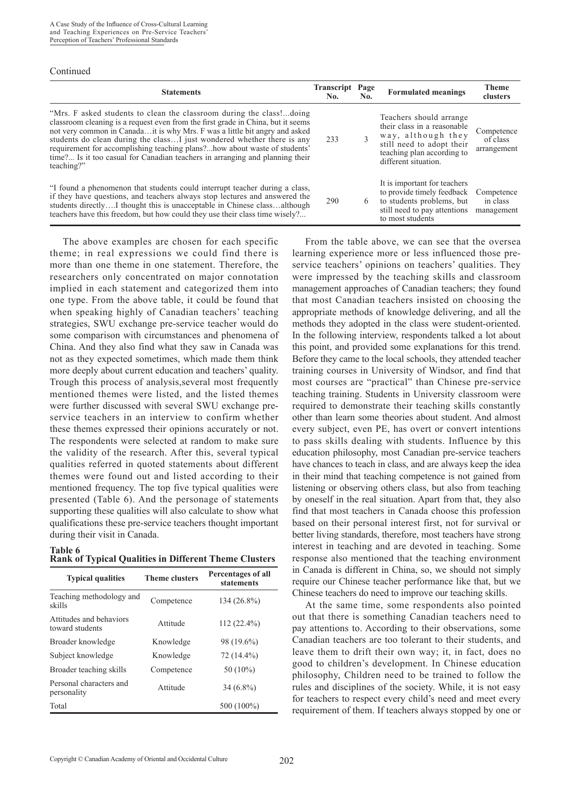#### Continued

| <b>Statements</b>                                                                                                                                                                                                                                                                                                                                                                                                                                                                          | <b>Transcript</b><br>No. | Page<br>No. | <b>Formulated meanings</b>                                                                                                                                      | <b>Theme</b><br>clusters              |
|--------------------------------------------------------------------------------------------------------------------------------------------------------------------------------------------------------------------------------------------------------------------------------------------------------------------------------------------------------------------------------------------------------------------------------------------------------------------------------------------|--------------------------|-------------|-----------------------------------------------------------------------------------------------------------------------------------------------------------------|---------------------------------------|
| "Mrs. F asked students to clean the classroom during the class!doing<br>classroom cleaning is a request even from the first grade in China, but it seems<br>not very common in Canadait is why Mrs. F was a little bit angry and asked<br>students do clean during the class just wondered whether there is any<br>requirement for accomplishing teaching plans?how about waste of students'<br>time? Is it too casual for Canadian teachers in arranging and planning their<br>teaching?" | 233                      | 3           | Teachers should arrange<br>their class in a reasonable<br>way, although they<br>still need to adopt their<br>teaching plan according to<br>different situation. | Competence<br>of class<br>arrangement |
| "I found a phenomenon that students could interrupt teacher during a class,<br>if they have questions, and teachers always stop lectures and answered the<br>students directlyI thought this is unacceptable in Chinese classalthough<br>teachers have this freedom, but how could they use their class time wisely?                                                                                                                                                                       | 290                      | 6           | It is important for teachers<br>to provide timely feedback<br>to students problems, but<br>still need to pay attentions<br>to most students                     | Competence<br>in class<br>management  |

The above examples are chosen for each specific theme; in real expressions we could find there is more than one theme in one statement. Therefore, the researchers only concentrated on major connotation implied in each statement and categorized them into one type. From the above table, it could be found that when speaking highly of Canadian teachers' teaching strategies, SWU exchange pre-service teacher would do some comparison with circumstances and phenomena of China. And they also find what they saw in Canada was not as they expected sometimes, which made them think more deeply about current education and teachers' quality. Trough this process of analysis,several most frequently mentioned themes were listed, and the listed themes were further discussed with several SWU exchange preservice teachers in an interview to confirm whether these themes expressed their opinions accurately or not. The respondents were selected at random to make sure the validity of the research. After this, several typical qualities referred in quoted statements about different themes were found out and listed according to their mentioned frequency. The top five typical qualities were presented (Table 6). And the personage of statements supporting these qualities will also calculate to show what qualifications these pre-service teachers thought important during their visit in Canada.

| Table 6                                                      |  |  |
|--------------------------------------------------------------|--|--|
| <b>Rank of Typical Qualities in Different Theme Clusters</b> |  |  |

| <b>Typical qualities</b>                   | <b>Theme clusters</b> | Percentages of all<br><b>statements</b> |
|--------------------------------------------|-----------------------|-----------------------------------------|
| Teaching methodology and<br>skills         | Competence            | 134 (26.8%)                             |
| Attitudes and behaviors<br>toward students | Attitude              | 112 (22.4%)                             |
| Broader knowledge                          | Knowledge             | 98 (19.6%)                              |
| Subject knowledge                          | Knowledge             | 72 (14.4%)                              |
| Broader teaching skills                    | Competence            | 50 $(10\%)$                             |
| Personal characters and<br>personality     | Attitude              | $34(6.8\%)$                             |
| Total                                      |                       | 500 (100%)                              |

From the table above, we can see that the oversea learning experience more or less influenced those preservice teachers' opinions on teachers' qualities. They were impressed by the teaching skills and classroom management approaches of Canadian teachers; they found that most Canadian teachers insisted on choosing the appropriate methods of knowledge delivering, and all the methods they adopted in the class were student-oriented. In the following interview, respondents talked a lot about this point, and provided some explanations for this trend. Before they came to the local schools, they attended teacher training courses in University of Windsor, and find that most courses are "practical" than Chinese pre-service teaching training. Students in University classroom were required to demonstrate their teaching skills constantly other than learn some theories about student. And almost every subject, even PE, has overt or convert intentions to pass skills dealing with students. Influence by this education philosophy, most Canadian pre-service teachers have chances to teach in class, and are always keep the idea in their mind that teaching competence is not gained from listening or observing others class, but also from teaching by oneself in the real situation. Apart from that, they also find that most teachers in Canada choose this profession based on their personal interest first, not for survival or better living standards, therefore, most teachers have strong interest in teaching and are devoted in teaching. Some response also mentioned that the teaching environment in Canada is different in China, so, we should not simply require our Chinese teacher performance like that, but we Chinese teachers do need to improve our teaching skills.

At the same time, some respondents also pointed out that there is something Canadian teachers need to pay attentions to. According to their observations, some Canadian teachers are too tolerant to their students, and leave them to drift their own way; it, in fact, does no good to children's development. In Chinese education philosophy, Children need to be trained to follow the rules and disciplines of the society. While, it is not easy for teachers to respect every child's need and meet every requirement of them. If teachers always stopped by one or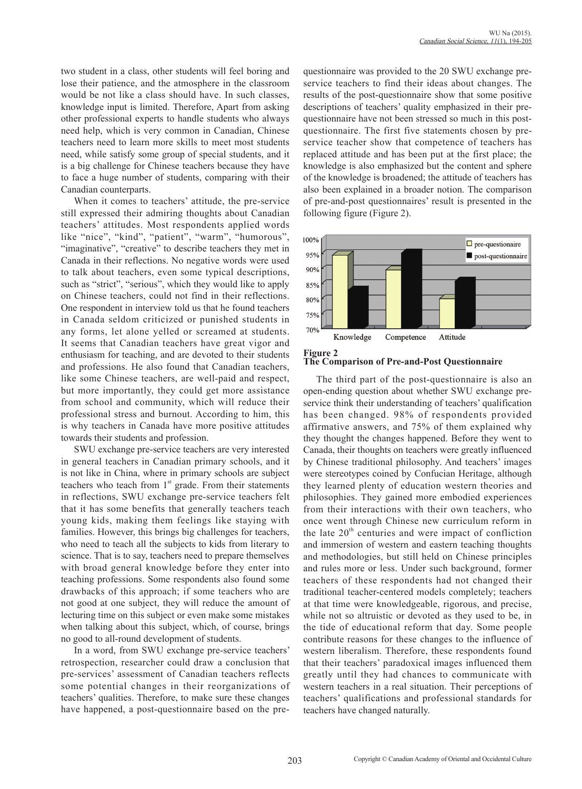two student in a class, other students will feel boring and lose their patience, and the atmosphere in the classroom would be not like a class should have. In such classes, knowledge input is limited. Therefore, Apart from asking other professional experts to handle students who always need help, which is very common in Canadian, Chinese teachers need to learn more skills to meet most students need, while satisfy some group of special students, and it is a big challenge for Chinese teachers because they have to face a huge number of students, comparing with their Canadian counterparts.

When it comes to teachers' attitude, the pre-service still expressed their admiring thoughts about Canadian teachers' attitudes. Most respondents applied words like "nice", "kind", "patient", "warm", "humorous", "imaginative", "creative" to describe teachers they met in Canada in their reflections. No negative words were used to talk about teachers, even some typical descriptions, such as "strict", "serious", which they would like to apply on Chinese teachers, could not find in their reflections. One respondent in interview told us that he found teachers in Canada seldom criticized or punished students in any forms, let alone yelled or screamed at students. It seems that Canadian teachers have great vigor and enthusiasm for teaching, and are devoted to their students and professions. He also found that Canadian teachers, like some Chinese teachers, are well-paid and respect, but more importantly, they could get more assistance from school and community, which will reduce their professional stress and burnout. According to him, this is why teachers in Canada have more positive attitudes towards their students and profession.

SWU exchange pre-service teachers are very interested in general teachers in Canadian primary schools, and it is not like in China, where in primary schools are subject teachers who teach from  $1<sup>st</sup>$  grade. From their statements in reflections, SWU exchange pre-service teachers felt that it has some benefits that generally teachers teach young kids, making them feelings like staying with families. However, this brings big challenges for teachers, who need to teach all the subjects to kids from literary to science. That is to say, teachers need to prepare themselves with broad general knowledge before they enter into teaching professions. Some respondents also found some drawbacks of this approach; if some teachers who are not good at one subject, they will reduce the amount of lecturing time on this subject or even make some mistakes when talking about this subject, which, of course, brings no good to all-round development of students.

In a word, from SWU exchange pre-service teachers' retrospection, researcher could draw a conclusion that pre-services' assessment of Canadian teachers reflects some potential changes in their reorganizations of teachers' qualities. Therefore, to make sure these changes have happened, a post-questionnaire based on the prequestionnaire was provided to the 20 SWU exchange preservice teachers to find their ideas about changes. The results of the post-questionnaire show that some positive descriptions of teachers' quality emphasized in their prequestionnaire have not been stressed so much in this postquestionnaire. The first five statements chosen by preservice teacher show that competence of teachers has replaced attitude and has been put at the first place; the knowledge is also emphasized but the content and sphere of the knowledge is broadened; the attitude of teachers has also been explained in a broader notion. The comparison of pre-and-post questionnaires' result is presented in the following figure (Figure 2).





The third part of the post-questionnaire is also an open-ending question about whether SWU exchange preservice think their understanding of teachers' qualification has been changed. 98% of respondents provided affirmative answers, and 75% of them explained why they thought the changes happened. Before they went to Canada, their thoughts on teachers were greatly influenced by Chinese traditional philosophy. And teachers' images were stereotypes coined by Confucian Heritage, although they learned plenty of education western theories and philosophies. They gained more embodied experiences from their interactions with their own teachers, who once went through Chinese new curriculum reform in the late  $20<sup>th</sup>$  centuries and were impact of confliction and immersion of western and eastern teaching thoughts and methodologies, but still held on Chinese principles and rules more or less. Under such background, former teachers of these respondents had not changed their traditional teacher-centered models completely; teachers at that time were knowledgeable, rigorous, and precise, while not so altruistic or devoted as they used to be, in the tide of educational reform that day. Some people contribute reasons for these changes to the influence of western liberalism. Therefore, these respondents found that their teachers' paradoxical images influenced them greatly until they had chances to communicate with western teachers in a real situation. Their perceptions of teachers' qualifications and professional standards for teachers have changed naturally.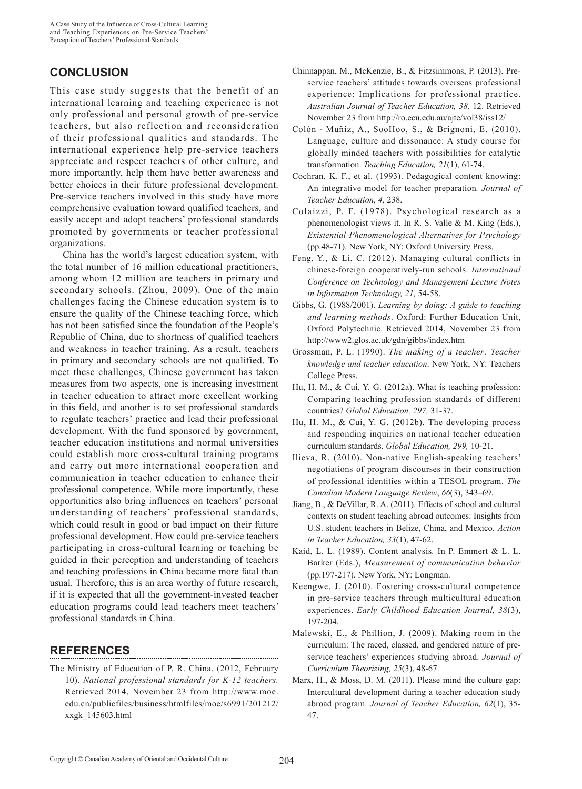## **CONCLUSION**

This case study suggests that the benefit of an international learning and teaching experience is not only professional and personal growth of pre-service teachers, but also reflection and reconsideration of their professional qualities and standards. The international experience help pre-service teachers appreciate and respect teachers of other culture, and more importantly, help them have better awareness and better choices in their future professional development. Pre-service teachers involved in this study have more comprehensive evaluation toward qualified teachers, and easily accept and adopt teachers' professional standards promoted by governments or teacher professional organizations.

China has the world's largest education system, with the total number of 16 million educational practitioners, among whom 12 million are teachers in primary and secondary schools. (Zhou, 2009). One of the main challenges facing the Chinese education system is to ensure the quality of the Chinese teaching force, which has not been satisfied since the foundation of the People's Republic of China, due to shortness of qualified teachers and weakness in teacher training. As a result, teachers in primary and secondary schools are not qualified. To meet these challenges, Chinese government has taken measures from two aspects, one is increasing investment in teacher education to attract more excellent working in this field, and another is to set professional standards to regulate teachers' practice and lead their professional development. With the fund sponsored by government, teacher education institutions and normal universities could establish more cross-cultural training programs and carry out more international cooperation and communication in teacher education to enhance their professional competence. While more importantly, these opportunities also bring influences on teachers' personal understanding of teachers' professional standards, which could result in good or bad impact on their future professional development. How could pre-service teachers participating in cross-cultural learning or teaching be guided in their perception and understanding of teachers and teaching professions in China became more fatal than usual. Therefore, this is an area worthy of future research, if it is expected that all the government-invested teacher education programs could lead teachers meet teachers' professional standards in China.

### **REFERENCES**

The Ministry of Education of P. R. China. (2012, February 10). *National professional standards for K-12 teachers.* Retrieved 2014, November 23 from http://www.moe. edu.cn/publicfiles/business/htmlfiles/moe/s6991/201212/ xxgk\_145603.html

- Chinnappan, M., McKenzie, B., & Fitzsimmons, P. (2013). Preservice teachers' attitudes towards overseas professional experience: Implications for professional practice. *Australian Journal of Teacher Education, 38,* 12. Retrieved November 23 from http://ro.ecu.edu.au/ajte/vol38/iss12/
- Colón‐Muñiz, A., SooHoo, S., & Brignoni, E. (2010). Language, culture and dissonance: A study course for globally minded teachers with possibilities for catalytic transformation. *Teaching Education, 21*(1), 61-74.
- Cochran, K. F., et al. (1993). Pedagogical content knowing: An integrative model for teacher preparation*. Journal of Teacher Education, 4,* 238.
- Colaizzi, P. F. (1978). Psychological research as a phenomenologist views it. In R. S. Valle & M. King (Eds.), *Existential Phenomenological Alternatives for Psychology* (pp.48-71). New York, NY: Oxford University Press.
- Feng, Y., & Li, C. (2012). Managing cultural conflicts in chinese-foreign cooperatively-run schools. *International Conference on Technology and Management Lecture Notes in Information Technology, 21,* 54-58.
- Gibbs, G. (1988/2001). *Learning by doing: A guide to teaching and learning methods*. Oxford: Further Education Unit, Oxford Polytechnic. Retrieved 2014, November 23 from http://www2.glos.ac.uk/gdn/gibbs/index.htm
- Grossman, P. L. (1990). *The making of a teacher: Teacher knowledge and teacher education*. New York, NY: Teachers College Press.
- Hu, H. M., & Cui, Y. G. (2012a). What is teaching profession: Comparing teaching profession standards of different countries? *Global Education, 297,* 31-37.
- Hu, H. M., & Cui, Y. G. (2012b). The developing process and responding inquiries on national teacher education curriculum standards. *Global Education, 299,* 10-21.
- Ilieva, R. (2010). Non-native English-speaking teachers' negotiations of program discourses in their construction of professional identities within a TESOL program. *The Canadian Modern Language Review*, *66*(3), 343–69.
- Jiang, B., & DeVillar, R. A. (2011). Effects of school and cultural contexts on student teaching abroad outcomes: Insights from U.S. student teachers in Belize, China, and Mexico. *Action in Teacher Education, 33*(1), 47-62.
- Kaid, L. L. (1989). Content analysis*.* In P. Emmert & L. L. Barker (Eds.), *Measurement of communication behavior*  (pp.197-217). New York, NY: Longman.
- Keengwe, J. (2010). Fostering cross-cultural competence in pre-service teachers through multicultural education experiences. *Early Childhood Education Journal, 38*(3), 197-204.
- Malewski, E., & Phillion, J. (2009). Making room in the curriculum: The raced, classed, and gendered nature of preservice teachers' experiences studying abroad. *Journal of Curriculum Theorizing, 25*(3), 48-67.
- Marx, H., & Moss, D. M. (2011). Please mind the culture gap: Intercultural development during a teacher education study abroad program. *Journal of Teacher Education, 62*(1), 35- 47.